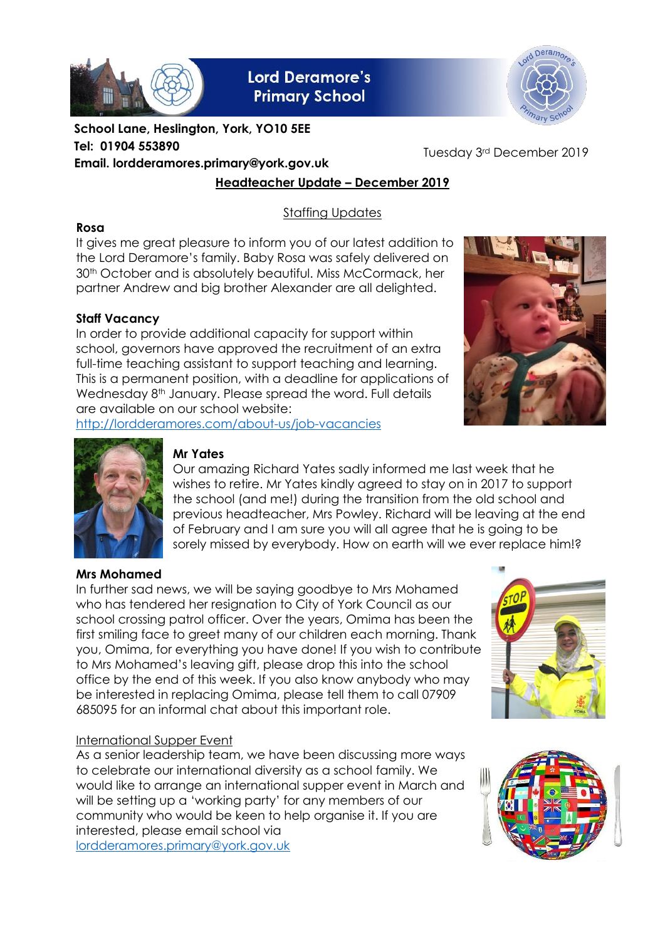

**Lord Deramore's Primary School** 



**Headteacher Update – December 2019 School Lane, Heslington, York, YO10 5EE Tel: 01904 553890 Email. lordderamores.primary@york.gov.uk**

Tuesday 3rd December 2019

Staffing Updates

#### **Rosa**

It gives me great pleasure to inform you of our latest addition to the Lord Deramore's family. Baby Rosa was safely delivered on 30<sup>th</sup> October and is absolutely beautiful. Miss McCormack, her partner Andrew and big brother Alexander are all delighted.

## **Staff Vacancy**

In order to provide additional capacity for support within school, governors have approved the recruitment of an extra full-time teaching assistant to support teaching and learning. This is a permanent position, with a deadline for applications of Wednesday 8<sup>th</sup> January. Please spread the word. Full details are available on our school website:







#### **Mr Yates**

Our amazing Richard Yates sadly informed me last week that he wishes to retire. Mr Yates kindly agreed to stay on in 2017 to support the school (and me!) during the transition from the old school and previous headteacher, Mrs Powley. Richard will be leaving at the end of February and I am sure you will all agree that he is going to be sorely missed by everybody. How on earth will we ever replace him!?

### **Mrs Mohamed**

In further sad news, we will be saying goodbye to Mrs Mohamed who has tendered her resignation to City of York Council as our school crossing patrol officer. Over the years, Omima has been the first smiling face to greet many of our children each morning. Thank you, Omima, for everything you have done! If you wish to contribute to Mrs Mohamed's leaving gift, please drop this into the school office by the end of this week. If you also know anybody who may be interested in replacing Omima, please tell them to call 07909 685095 for an informal chat about this important role.

### International Supper Event

As a senior leadership team, we have been discussing more ways to celebrate our international diversity as a school family. We would like to arrange an international supper event in March and will be setting up a 'working party' for any members of our community who would be keen to help organise it. If you are interested, please email school via [lordderamores.primary@york.gov.uk](mailto:lordderamores.primary@york.gov.uk)



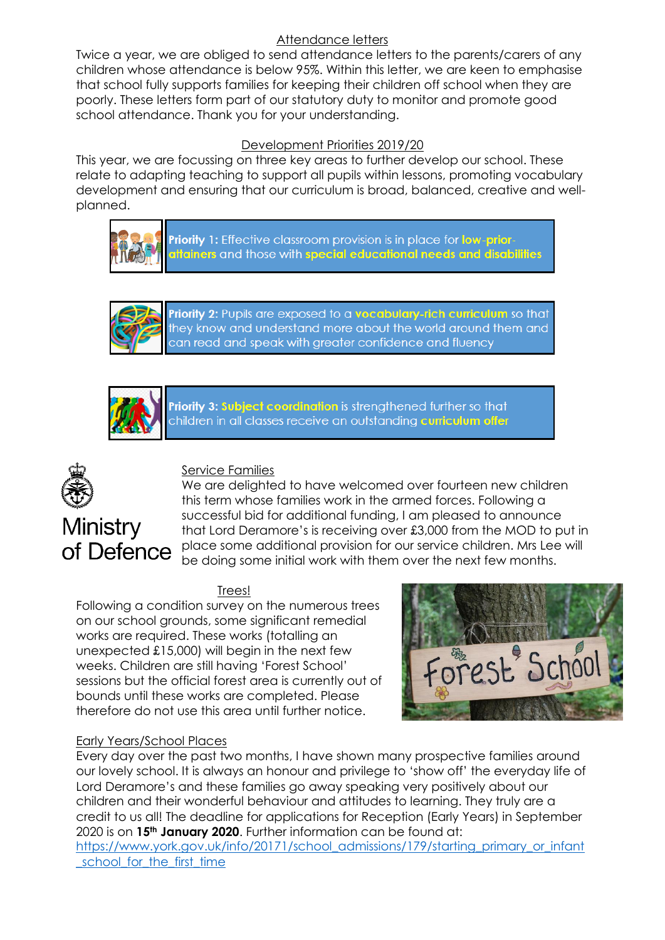### Attendance letters

Twice a year, we are obliged to send attendance letters to the parents/carers of any children whose attendance is below 95%. Within this letter, we are keen to emphasise that school fully supports families for keeping their children off school when they are poorly. These letters form part of our statutory duty to monitor and promote good school attendance. Thank you for your understanding.

### Development Priorities 2019/20

This year, we are focussing on three key areas to further develop our school. These relate to adapting teaching to support all pupils within lessons, promoting vocabulary development and ensuring that our curriculum is broad, balanced, creative and wellplanned.





riority 2: Pupils are exposed to a vocabulary-rich curriculum so that hey know and understand more about the world around them and an read and speak with greater confidence and fluency



riority 3: Subject coordination is strengthened further so that hildren in all classes receive an outstanding curriculum offer



**Ministry** 

of Defence

# Service Families

We are delighted to have welcomed over fourteen new children this term whose families work in the armed forces. Following a successful bid for additional funding, I am pleased to announce that Lord Deramore's is receiving over £3,000 from the MOD to put in place some additional provision for our service children. Mrs Lee will be doing some initial work with them over the next few months.

### Trees!

Following a condition survey on the numerous trees on our school grounds, some significant remedial works are required. These works (totalling an unexpected £15,000) will begin in the next few weeks. Children are still having 'Forest School' sessions but the official forest area is currently out of bounds until these works are completed. Please therefore do not use this area until further notice.



# Early Years/School Places

Every day over the past two months, I have shown many prospective families around our lovely school. It is always an honour and privilege to 'show off' the everyday life of Lord Deramore's and these families go away speaking very positively about our children and their wonderful behaviour and attitudes to learning. They truly are a credit to us all! The deadline for applications for Reception (Early Years) in September 2020 is on **15th January 2020**. Further information can be found at: [https://www.york.gov.uk/info/20171/school\\_admissions/179/starting\\_primary\\_or\\_infant](https://www.york.gov.uk/info/20171/school_admissions/179/starting_primary_or_infant_school_for_the_first_time) school for the first time